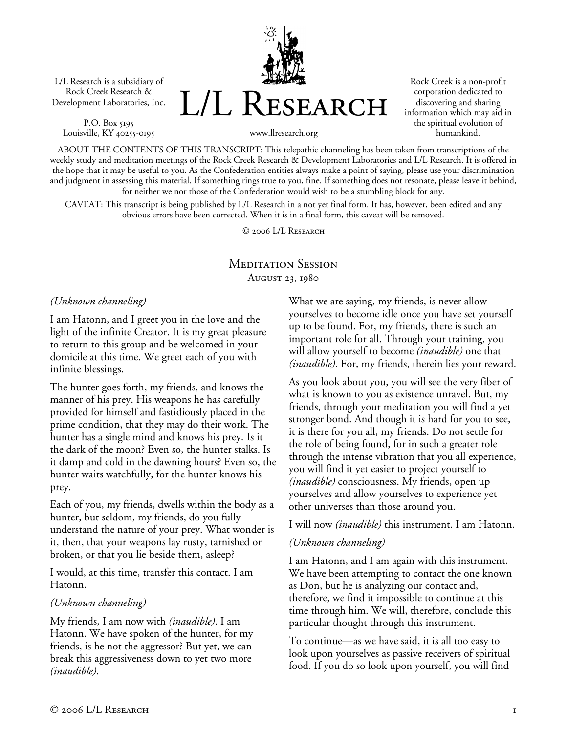L/L Research is a subsidiary of Rock Creek Research & Development Laboratories, Inc.

P.O. Box 5195 Louisville, KY 40255-0195 L/L Research

Rock Creek is a non-profit corporation dedicated to discovering and sharing information which may aid in the spiritual evolution of humankind.

www.llresearch.org

ABOUT THE CONTENTS OF THIS TRANSCRIPT: This telepathic channeling has been taken from transcriptions of the weekly study and meditation meetings of the Rock Creek Research & Development Laboratories and L/L Research. It is offered in the hope that it may be useful to you. As the Confederation entities always make a point of saying, please use your discrimination and judgment in assessing this material. If something rings true to you, fine. If something does not resonate, please leave it behind, for neither we nor those of the Confederation would wish to be a stumbling block for any.

CAVEAT: This transcript is being published by L/L Research in a not yet final form. It has, however, been edited and any obvious errors have been corrected. When it is in a final form, this caveat will be removed.

© 2006 L/L Research

# Meditation Session August 23, 1980

*(Unknown channeling)* 

I am Hatonn, and I greet you in the love and the light of the infinite Creator. It is my great pleasure to return to this group and be welcomed in your domicile at this time. We greet each of you with infinite blessings.

The hunter goes forth, my friends, and knows the manner of his prey. His weapons he has carefully provided for himself and fastidiously placed in the prime condition, that they may do their work. The hunter has a single mind and knows his prey. Is it the dark of the moon? Even so, the hunter stalks. Is it damp and cold in the dawning hours? Even so, the hunter waits watchfully, for the hunter knows his prey.

Each of you, my friends, dwells within the body as a hunter, but seldom, my friends, do you fully understand the nature of your prey. What wonder is it, then, that your weapons lay rusty, tarnished or broken, or that you lie beside them, asleep?

I would, at this time, transfer this contact. I am Hatonn.

### *(Unknown channeling)*

My friends, I am now with *(inaudible)*. I am Hatonn. We have spoken of the hunter, for my friends, is he not the aggressor? But yet, we can break this aggressiveness down to yet two more *(inaudible)*.

What we are saying, my friends, is never allow yourselves to become idle once you have set yourself up to be found. For, my friends, there is such an important role for all. Through your training, you will allow yourself to become *(inaudible)* one that *(inaudible)*. For, my friends, therein lies your reward.

As you look about you, you will see the very fiber of what is known to you as existence unravel. But, my friends, through your meditation you will find a yet stronger bond. And though it is hard for you to see, it is there for you all, my friends. Do not settle for the role of being found, for in such a greater role through the intense vibration that you all experience, you will find it yet easier to project yourself to *(inaudible)* consciousness. My friends, open up yourselves and allow yourselves to experience yet other universes than those around you.

I will now *(inaudible)* this instrument. I am Hatonn.

## *(Unknown channeling)*

I am Hatonn, and I am again with this instrument. We have been attempting to contact the one known as Don, but he is analyzing our contact and, therefore, we find it impossible to continue at this time through him. We will, therefore, conclude this particular thought through this instrument.

To continue—as we have said, it is all too easy to look upon yourselves as passive receivers of spiritual food. If you do so look upon yourself, you will find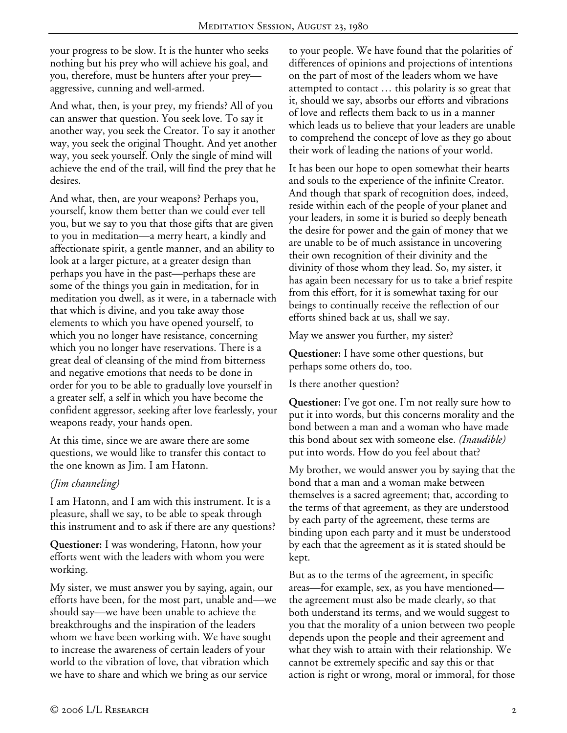your progress to be slow. It is the hunter who seeks nothing but his prey who will achieve his goal, and you, therefore, must be hunters after your prey aggressive, cunning and well-armed.

And what, then, is your prey, my friends? All of you can answer that question. You seek love. To say it another way, you seek the Creator. To say it another way, you seek the original Thought. And yet another way, you seek yourself. Only the single of mind will achieve the end of the trail, will find the prey that he desires.

And what, then, are your weapons? Perhaps you, yourself, know them better than we could ever tell you, but we say to you that those gifts that are given to you in meditation—a merry heart, a kindly and affectionate spirit, a gentle manner, and an ability to look at a larger picture, at a greater design than perhaps you have in the past—perhaps these are some of the things you gain in meditation, for in meditation you dwell, as it were, in a tabernacle with that which is divine, and you take away those elements to which you have opened yourself, to which you no longer have resistance, concerning which you no longer have reservations. There is a great deal of cleansing of the mind from bitterness and negative emotions that needs to be done in order for you to be able to gradually love yourself in a greater self, a self in which you have become the confident aggressor, seeking after love fearlessly, your weapons ready, your hands open.

At this time, since we are aware there are some questions, we would like to transfer this contact to the one known as Jim. I am Hatonn.

## *(Jim channeling)*

I am Hatonn, and I am with this instrument. It is a pleasure, shall we say, to be able to speak through this instrument and to ask if there are any questions?

**Questioner:** I was wondering, Hatonn, how your efforts went with the leaders with whom you were working.

My sister, we must answer you by saying, again, our efforts have been, for the most part, unable and—we should say—we have been unable to achieve the breakthroughs and the inspiration of the leaders whom we have been working with. We have sought to increase the awareness of certain leaders of your world to the vibration of love, that vibration which we have to share and which we bring as our service

to your people. We have found that the polarities of differences of opinions and projections of intentions on the part of most of the leaders whom we have attempted to contact … this polarity is so great that it, should we say, absorbs our efforts and vibrations of love and reflects them back to us in a manner which leads us to believe that your leaders are unable to comprehend the concept of love as they go about their work of leading the nations of your world.

It has been our hope to open somewhat their hearts and souls to the experience of the infinite Creator. And though that spark of recognition does, indeed, reside within each of the people of your planet and your leaders, in some it is buried so deeply beneath the desire for power and the gain of money that we are unable to be of much assistance in uncovering their own recognition of their divinity and the divinity of those whom they lead. So, my sister, it has again been necessary for us to take a brief respite from this effort, for it is somewhat taxing for our beings to continually receive the reflection of our efforts shined back at us, shall we say.

May we answer you further, my sister?

**Questioner:** I have some other questions, but perhaps some others do, too.

Is there another question?

**Questioner:** I've got one. I'm not really sure how to put it into words, but this concerns morality and the bond between a man and a woman who have made this bond about sex with someone else. *(Inaudible)* put into words. How do you feel about that?

My brother, we would answer you by saying that the bond that a man and a woman make between themselves is a sacred agreement; that, according to the terms of that agreement, as they are understood by each party of the agreement, these terms are binding upon each party and it must be understood by each that the agreement as it is stated should be kept.

But as to the terms of the agreement, in specific areas—for example, sex, as you have mentioned the agreement must also be made clearly, so that both understand its terms, and we would suggest to you that the morality of a union between two people depends upon the people and their agreement and what they wish to attain with their relationship. We cannot be extremely specific and say this or that action is right or wrong, moral or immoral, for those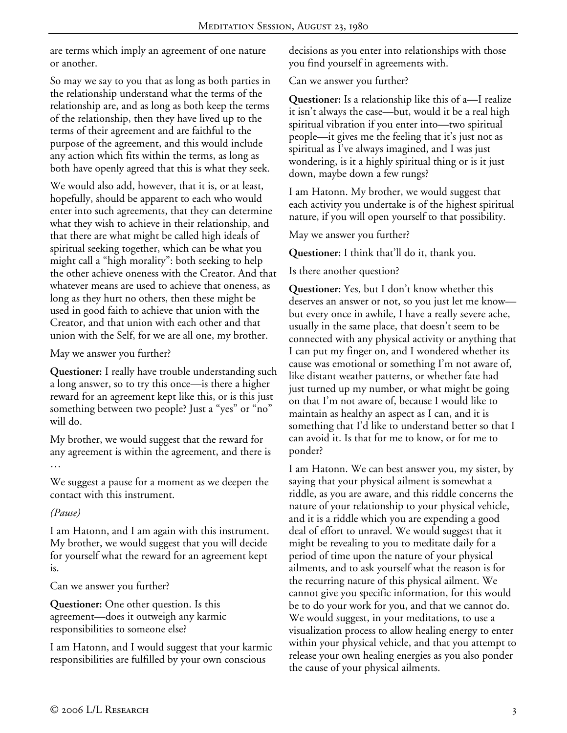are terms which imply an agreement of one nature or another.

So may we say to you that as long as both parties in the relationship understand what the terms of the relationship are, and as long as both keep the terms of the relationship, then they have lived up to the terms of their agreement and are faithful to the purpose of the agreement, and this would include any action which fits within the terms, as long as both have openly agreed that this is what they seek.

We would also add, however, that it is, or at least, hopefully, should be apparent to each who would enter into such agreements, that they can determine what they wish to achieve in their relationship, and that there are what might be called high ideals of spiritual seeking together, which can be what you might call a "high morality": both seeking to help the other achieve oneness with the Creator. And that whatever means are used to achieve that oneness, as long as they hurt no others, then these might be used in good faith to achieve that union with the Creator, and that union with each other and that union with the Self, for we are all one, my brother.

May we answer you further?

**Questioner:** I really have trouble understanding such a long answer, so to try this once—is there a higher reward for an agreement kept like this, or is this just something between two people? Just a "yes" or "no" will do.

My brother, we would suggest that the reward for any agreement is within the agreement, and there is …

We suggest a pause for a moment as we deepen the contact with this instrument.

## *(Pause)*

I am Hatonn, and I am again with this instrument. My brother, we would suggest that you will decide for yourself what the reward for an agreement kept is.

Can we answer you further?

**Questioner:** One other question. Is this agreement—does it outweigh any karmic responsibilities to someone else?

I am Hatonn, and I would suggest that your karmic responsibilities are fulfilled by your own conscious

decisions as you enter into relationships with those you find yourself in agreements with.

Can we answer you further?

**Questioner:** Is a relationship like this of a—I realize it isn't always the case—but, would it be a real high spiritual vibration if you enter into—two spiritual people—it gives me the feeling that it's just not as spiritual as I've always imagined, and I was just wondering, is it a highly spiritual thing or is it just down, maybe down a few rungs?

I am Hatonn. My brother, we would suggest that each activity you undertake is of the highest spiritual nature, if you will open yourself to that possibility.

May we answer you further?

**Questioner:** I think that'll do it, thank you.

Is there another question?

**Questioner:** Yes, but I don't know whether this deserves an answer or not, so you just let me know but every once in awhile, I have a really severe ache, usually in the same place, that doesn't seem to be connected with any physical activity or anything that I can put my finger on, and I wondered whether its cause was emotional or something I'm not aware of, like distant weather patterns, or whether fate had just turned up my number, or what might be going on that I'm not aware of, because I would like to maintain as healthy an aspect as I can, and it is something that I'd like to understand better so that I can avoid it. Is that for me to know, or for me to ponder?

I am Hatonn. We can best answer you, my sister, by saying that your physical ailment is somewhat a riddle, as you are aware, and this riddle concerns the nature of your relationship to your physical vehicle, and it is a riddle which you are expending a good deal of effort to unravel. We would suggest that it might be revealing to you to meditate daily for a period of time upon the nature of your physical ailments, and to ask yourself what the reason is for the recurring nature of this physical ailment. We cannot give you specific information, for this would be to do your work for you, and that we cannot do. We would suggest, in your meditations, to use a visualization process to allow healing energy to enter within your physical vehicle, and that you attempt to release your own healing energies as you also ponder the cause of your physical ailments.